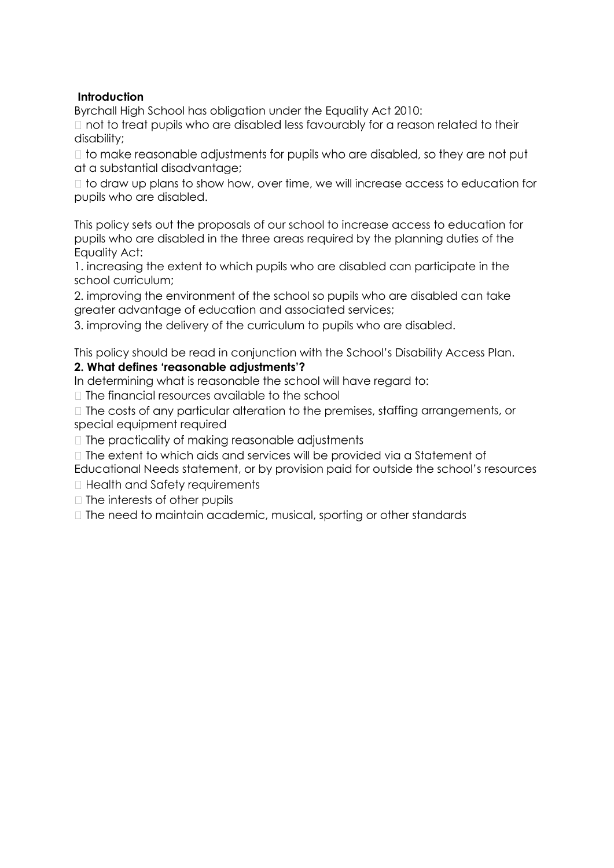## **Introduction**

Byrchall High School has obligation under the Equality Act 2010:

□ not to treat pupils who are disabled less favourably for a reason related to their disability;

□ to make reasonable adjustments for pupils who are disabled, so they are not put at a substantial disadvantage;

I to draw up plans to show how, over time, we will increase access to education for pupils who are disabled.

This policy sets out the proposals of our school to increase access to education for pupils who are disabled in the three areas required by the planning duties of the Equality Act:

1. increasing the extent to which pupils who are disabled can participate in the school curriculum;

2. improving the environment of the school so pupils who are disabled can take greater advantage of education and associated services;

3. improving the delivery of the curriculum to pupils who are disabled.

This policy should be read in conjunction with the School's Disability Access Plan.

## **2. What defines 'reasonable adjustments'?**

In determining what is reasonable the school will have regard to:

 $\Box$  The financial resources available to the school

 $\Box$  The costs of any particular alteration to the premises, staffing arrangements, or special equipment required

□ The practicality of making reasonable adjustments

□ The extent to which aids and services will be provided via a Statement of Educational Needs statement, or by provision paid for outside the school's resources

□ Health and Safety requirements

 $\Box$  The interests of other pupils

□ The need to maintain academic, musical, sporting or other standards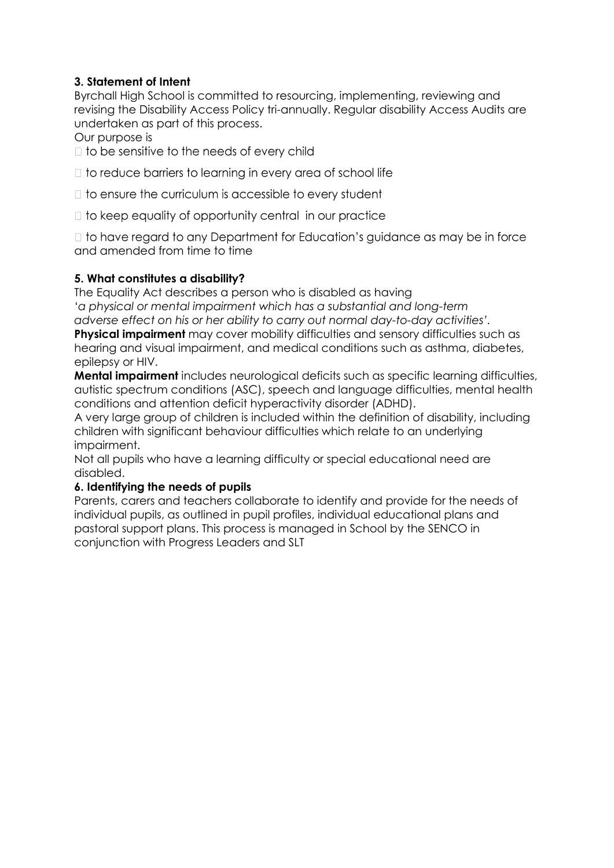# **3. Statement of Intent**

Byrchall High School is committed to resourcing, implementing, reviewing and revising the Disability Access Policy tri-annually. Regular disability Access Audits are undertaken as part of this process.

Our purpose is

 $\Box$  to be sensitive to the needs of every child

 $\Box$  to reduce barriers to learning in every area of school life

 $\Box$  to ensure the curriculum is accessible to every student

□ to keep equality of opportunity central in our practice

□ to have regard to any Department for Education's guidance as may be in force and amended from time to time

## **5. What constitutes a disability?**

The Equality Act describes a person who is disabled as having '*a physical or mental impairment which has a substantial and long-term adverse effect on his or her ability to carry out normal day-to-day activities'.* 

**Physical impairment** may cover mobility difficulties and sensory difficulties such as hearing and visual impairment, and medical conditions such as asthma, diabetes, epilepsy or HIV.

**Mental impairment** includes neurological deficits such as specific learning difficulties, autistic spectrum conditions (ASC), speech and language difficulties, mental health conditions and attention deficit hyperactivity disorder (ADHD).

A very large group of children is included within the definition of disability, including children with significant behaviour difficulties which relate to an underlying impairment.

Not all pupils who have a learning difficulty or special educational need are disabled.

## **6. Identifying the needs of pupils**

Parents, carers and teachers collaborate to identify and provide for the needs of individual pupils, as outlined in pupil profiles, individual educational plans and pastoral support plans. This process is managed in School by the SENCO in conjunction with Progress Leaders and SLT